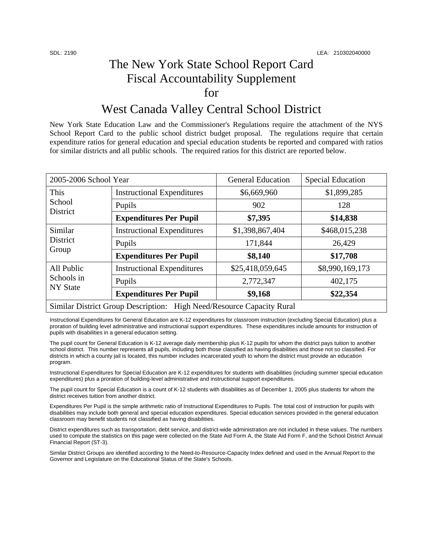## The New York State School Report Card Fiscal Accountability Supplement for

## West Canada Valley Central School District

New York State Education Law and the Commissioner's Regulations require the attachment of the NYS School Report Card to the public school district budget proposal. The regulations require that certain expenditure ratios for general education and special education students be reported and compared with ratios for similar districts and all public schools. The required ratios for this district are reported below.

| 2005-2006 School Year                                                 |                                   | <b>General Education</b> | <b>Special Education</b> |  |
|-----------------------------------------------------------------------|-----------------------------------|--------------------------|--------------------------|--|
| This<br>School<br>District                                            | <b>Instructional Expenditures</b> | \$6,669,960              | \$1,899,285              |  |
|                                                                       | Pupils                            | 902                      | 128                      |  |
|                                                                       | <b>Expenditures Per Pupil</b>     | \$7,395                  | \$14,838                 |  |
| Similar<br>District<br>Group                                          | <b>Instructional Expenditures</b> | \$1,398,867,404          | \$468,015,238            |  |
|                                                                       | Pupils                            | 171,844                  | 26,429                   |  |
|                                                                       | <b>Expenditures Per Pupil</b>     | \$8,140                  | \$17,708                 |  |
| All Public<br>Schools in<br><b>NY State</b>                           | <b>Instructional Expenditures</b> | \$25,418,059,645         | \$8,990,169,173          |  |
|                                                                       | Pupils                            | 2,772,347                | 402,175                  |  |
|                                                                       | <b>Expenditures Per Pupil</b>     | \$9,168                  | \$22,354                 |  |
| Similar District Group Description: High Need/Resource Capacity Rural |                                   |                          |                          |  |

Instructional Expenditures for General Education are K-12 expenditures for classroom instruction (excluding Special Education) plus a proration of building level administrative and instructional support expenditures. These expenditures include amounts for instruction of pupils with disabilities in a general education setting.

The pupil count for General Education is K-12 average daily membership plus K-12 pupils for whom the district pays tuition to another school district. This number represents all pupils, including both those classified as having disabilities and those not so classified. For districts in which a county jail is located, this number includes incarcerated youth to whom the district must provide an education program.

Instructional Expenditures for Special Education are K-12 expenditures for students with disabilities (including summer special education expenditures) plus a proration of building-level administrative and instructional support expenditures.

The pupil count for Special Education is a count of K-12 students with disabilities as of December 1, 2005 plus students for whom the district receives tuition from another district.

Expenditures Per Pupil is the simple arithmetic ratio of Instructional Expenditures to Pupils. The total cost of instruction for pupils with disabilities may include both general and special education expenditures. Special education services provided in the general education classroom may benefit students not classified as having disabilities.

District expenditures such as transportation, debt service, and district-wide administration are not included in these values. The numbers used to compute the statistics on this page were collected on the State Aid Form A, the State Aid Form F, and the School District Annual Financial Report (ST-3).

Similar District Groups are identified according to the Need-to-Resource-Capacity Index defined and used in the Annual Report to the Governor and Legislature on the Educational Status of the State's Schools.